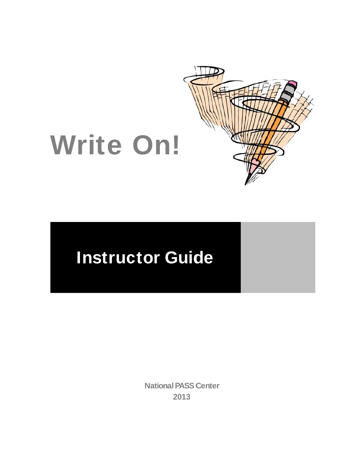

# **Write On!**

# **Instructor Guide**

**National PASS Center** 2013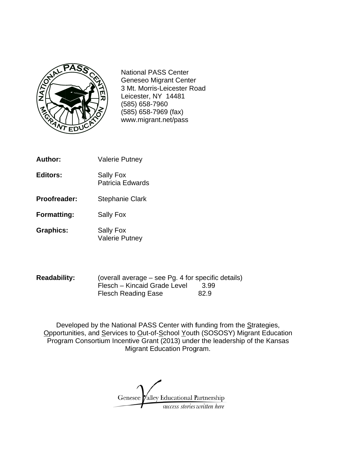

**National PASS Center Geneseo Migrant Center** 3 Mt. Morris-Leicester Road Leicester, NY 14481 (585) 658-7960  $(585)$  658-7969 (fax) www.migrant.net/pass

- Author: **Valerie Putney**
- **Editors:** Sally Fox Patricia Edwards
- Proofreader: **Stephanie Clark**

**Formatting:** Sally Fox

- **Graphics: Sally Fox Valerie Putney**
- **Readability:** (overall average – see Pg. 4 for specific details) Flesch - Kincaid Grade Level 3.99 **Flesch Reading Ease** 82.9

Developed by the National PASS Center with funding from the Strategies, Opportunities, and Services to Out-of-School Youth (SOSOSY) Migrant Education  $P$ rogram Consortium Incentive Grant (2013) under the leadership of the Kansas Migrant Education Program.

alley Educational Partnership Genesee success stories written here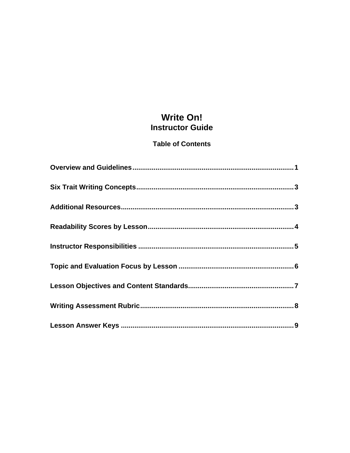## **Write On! Instructor Guide**

#### **Table of Contents**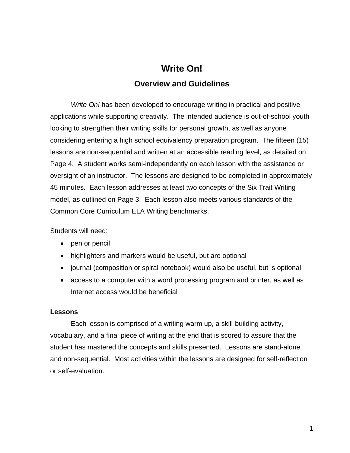# **Write On!**

#### **Overview and Guidelines**

*Write On!* has been developed to encourage writing in practical and positive applications while supporting creativity. The intended audience is out-of-school youth looking to strengthen their writing skills for personal growth, as well as anyone considering entering a high school equivalency preparation program. The fifteen (15) lessons are non-sequential and written at an accessible reading level, as detailed on Page 4. A student works semi-independently on each lesson with the assistance or oversight of an instructor. The lessons are designed to be completed in approximately 45 minutes. Each lesson addresses at least two concepts of the Six Trait Writing model, as outlined on Page 3. Each lesson also meets various standards of the Common Core Curriculum ELA Writing benchmarks.

Students will need:

- pen or pencil
- highlighters and markers would be useful, but are optional
- journal (composition or spiral notebook) would also be useful, but is optional
- access to a computer with a word processing program and printer, as well as Internet access would be beneficial

#### **Lessons**

Each lesson is comprised of a writing warm up, a skill-building activity, vocabulary, and a final piece of writing at the end that is scored to assure that the student has mastered the concepts and skills presented. Lessons are stand-alone and non-sequential. Most activities within the lessons are designed for self-reflection or self-evaluation.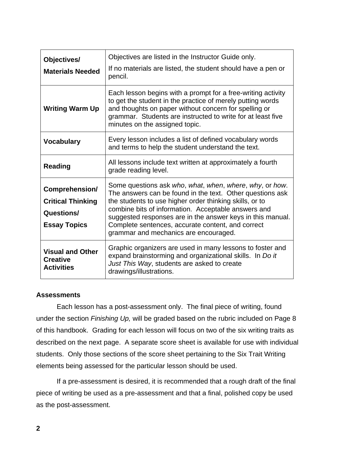| Objectives/<br><b>Materials Needed</b>                                          | Objectives are listed in the Instructor Guide only.<br>If no materials are listed, the student should have a pen or<br>pencil.                                                                                                                                                                                                                                                                     |
|---------------------------------------------------------------------------------|----------------------------------------------------------------------------------------------------------------------------------------------------------------------------------------------------------------------------------------------------------------------------------------------------------------------------------------------------------------------------------------------------|
| <b>Writing Warm Up</b>                                                          | Each lesson begins with a prompt for a free-writing activity<br>to get the student in the practice of merely putting words<br>and thoughts on paper without concern for spelling or<br>grammar. Students are instructed to write for at least five<br>minutes on the assigned topic.                                                                                                               |
| <b>Vocabulary</b>                                                               | Every lesson includes a list of defined vocabulary words<br>and terms to help the student understand the text.                                                                                                                                                                                                                                                                                     |
| <b>Reading</b>                                                                  | All lessons include text written at approximately a fourth<br>grade reading level.                                                                                                                                                                                                                                                                                                                 |
| Comprehension/<br><b>Critical Thinking</b><br>Questions/<br><b>Essay Topics</b> | Some questions ask who, what, when, where, why, or how.<br>The answers can be found in the text. Other questions ask<br>the students to use higher order thinking skills, or to<br>combine bits of information. Acceptable answers and<br>suggested responses are in the answer keys in this manual.<br>Complete sentences, accurate content, and correct<br>grammar and mechanics are encouraged. |
| <b>Visual and Other</b><br><b>Creative</b><br><b>Activities</b>                 | Graphic organizers are used in many lessons to foster and<br>expand brainstorming and organizational skills. In Do it<br>Just This Way, students are asked to create<br>drawings/illustrations.                                                                                                                                                                                                    |

#### **Assessments**

Each lesson has a post-assessment only. The final piece of writing, found under the section *Finishing Up,* will be graded based on the rubric included on Page 8 of this handbook. Grading for each lesson will focus on two of the six writing traits as described on the next page. A separate score sheet is available for use with individual students. Only those sections of the score sheet pertaining to the Six Trait Writing elements being assessed for the particular lesson should be used.

If a pre-assessment is desired, it is recommended that a rough draft of the final piece of writing be used as a pre-assessment and that a final, polished copy be used as the post-assessment.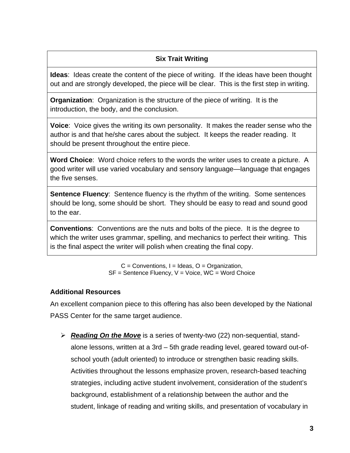#### **Six Trait Writing**

**Ideas**: Ideas create the content of the piece of writing. If the ideas have been thought out and are strongly developed, the piece will be clear. This is the first step in writing.

**Organization**: Organization is the structure of the piece of writing. It is the introduction, the body, and the conclusion.

**Voice**: Voice gives the writing its own personality. It makes the reader sense who the author is and that he/she cares about the subject. It keeps the reader reading. It should be present throughout the entire piece.

**Word Choice**: Word choice refers to the words the writer uses to create a picture. A good writer will use varied vocabulary and sensory language—language that engages the five senses.

**Sentence Fluency**: Sentence fluency is the rhythm of the writing. Some sentences should be long, some should be short. They should be easy to read and sound good to the ear.

**Conventions**: Conventions are the nuts and bolts of the piece. It is the degree to which the writer uses grammar, spelling, and mechanics to perfect their writing. This is the final aspect the writer will polish when creating the final copy.

> $C =$  Conventions, I = Ideas, O = Organization,  $SF =$  Sentence Fluency,  $V =$  Voice,  $WC =$  Word Choice

#### **Additional Resources**

An excellent companion piece to this offering has also been developed by the National PASS Center for the same target audience.

 *Reading On the Move* is a series of twenty-two (22) non-sequential, standalone lessons, written at a 3rd – 5th grade reading level, geared toward out-ofschool youth (adult oriented) to introduce or strengthen basic reading skills. Activities throughout the lessons emphasize proven, research-based teaching strategies, including active student involvement, consideration of the student's background, establishment of a relationship between the author and the student, linkage of reading and writing skills, and presentation of vocabulary in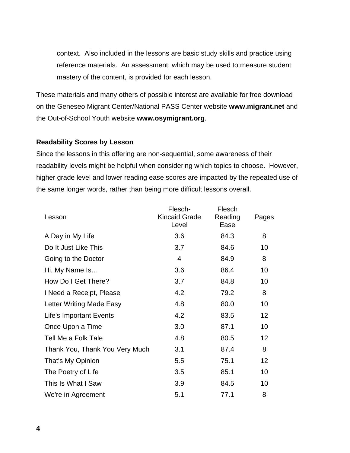context. Also included in the lessons are basic study skills and practice using reference materials. An assessment, which may be used to measure student mastery of the content, is provided for each lesson.

These materials and many others of possible interest are available for free download on the Geneseo Migrant Center/National PASS Center website **www.migrant.net** and the Out-of-School Youth website **www.osymigrant.org**.

#### **Readability Scores by Lesson**

Since the lessons in this offering are non-sequential, some awareness of their readability levels might be helpful when considering which topics to choose. However, higher grade level and lower reading ease scores are impacted by the repeated use of the same longer words, rather than being more difficult lessons overall.

| Lesson                         | Flesch-<br><b>Kincaid Grade</b><br>Level | Flesch<br>Reading<br>Ease | Pages |
|--------------------------------|------------------------------------------|---------------------------|-------|
| A Day in My Life               | 3.6                                      | 84.3                      | 8     |
| Do It Just Like This           | 3.7                                      | 84.6                      | 10    |
| Going to the Doctor            | 4                                        | 84.9                      | 8     |
| Hi, My Name Is                 | 3.6                                      | 86.4                      | 10    |
| How Do I Get There?            | 3.7                                      | 84.8                      | 10    |
| I Need a Receipt, Please       | 4.2                                      | 79.2                      | 8     |
| Letter Writing Made Easy       | 4.8                                      | 80.0                      | 10    |
| Life's Important Events        | 4.2                                      | 83.5                      | 12    |
| Once Upon a Time               | 3.0                                      | 87.1                      | 10    |
| Tell Me a Folk Tale            | 4.8                                      | 80.5                      | 12    |
| Thank You, Thank You Very Much | 3.1                                      | 87.4                      | 8     |
| That's My Opinion              | 5.5                                      | 75.1                      | 12    |
| The Poetry of Life             | 3.5                                      | 85.1                      | 10    |
| This Is What I Saw             | 3.9                                      | 84.5                      | 10    |
| We're in Agreement             | 5.1                                      | 77.1                      | 8     |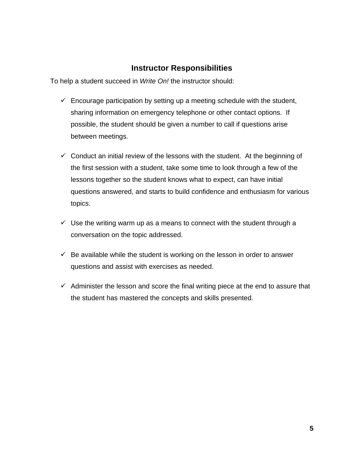#### **Instructor Responsibilities**

To help a student succeed in *Write On!* the instructor should:

- $\checkmark$  Encourage participation by setting up a meeting schedule with the student, sharing information on emergency telephone or other contact options. If possible, the student should be given a number to call if questions arise between meetings.
- $\checkmark$  Conduct an initial review of the lessons with the student. At the beginning of the first session with a student, take some time to look through a few of the lessons together so the student knows what to expect, can have initial questions answered, and starts to build confidence and enthusiasm for various topics.
- $\checkmark$  Use the writing warm up as a means to connect with the student through a conversation on the topic addressed.
- $\checkmark$  Be available while the student is working on the lesson in order to answer questions and assist with exercises as needed.
- $\checkmark$  Administer the lesson and score the final writing piece at the end to assure that the student has mastered the concepts and skills presented.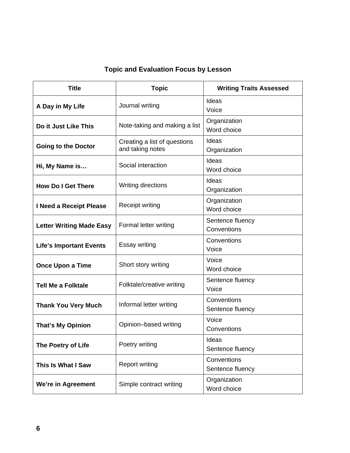# **Topic and Evaluation Focus by Lesson**

| <b>Title</b>                    | <b>Topic</b>                                     | <b>Writing Traits Assessed</b>  |  |
|---------------------------------|--------------------------------------------------|---------------------------------|--|
| A Day in My Life                | Journal writing                                  | Ideas<br>Voice                  |  |
| Do it Just Like This            | Note-taking and making a list                    | Organization<br>Word choice     |  |
| <b>Going to the Doctor</b>      | Creating a list of questions<br>and taking notes | Ideas<br>Organization           |  |
| Hi, My Name is                  | Social interaction                               | Ideas<br>Word choice            |  |
| <b>How Do I Get There</b>       | Writing directions                               | Ideas<br>Organization           |  |
| I Need a Receipt Please         | <b>Receipt writing</b>                           | Organization<br>Word choice     |  |
| <b>Letter Writing Made Easy</b> | Formal letter writing                            | Sentence fluency<br>Conventions |  |
| <b>Life's Important Events</b>  | <b>Essay writing</b>                             | Conventions<br>Voice            |  |
| <b>Once Upon a Time</b>         | Short story writing                              | Voice<br>Word choice            |  |
| <b>Tell Me a Folktale</b>       | Folktale/creative writing                        | Sentence fluency<br>Voice       |  |
| <b>Thank You Very Much</b>      | Informal letter writing                          | Conventions<br>Sentence fluency |  |
| That's My Opinion               | Opinion-based writing                            | Voice<br>Conventions            |  |
| The Poetry of Life              | Poetry writing                                   | Ideas<br>Sentence fluency       |  |
| This Is What I Saw              | <b>Report writing</b>                            | Conventions<br>Sentence fluency |  |
| We're in Agreement              | Simple contract writing                          | Organization<br>Word choice     |  |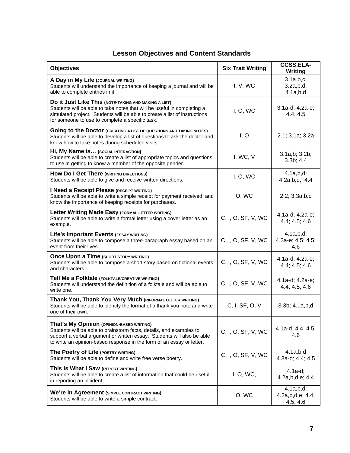### **Lesson Objectives and Content Standards**

| <b>Objectives</b>                                                                                                                                                                                                                                                   | <b>Six Trait Writing</b> | <b>CCSS.ELA-</b><br>Writing                 |
|---------------------------------------------------------------------------------------------------------------------------------------------------------------------------------------------------------------------------------------------------------------------|--------------------------|---------------------------------------------|
| A Day in My Life (JOURNAL WRITING)<br>Students will understand the importance of keeping a journal and will be<br>able to complete entries in it.                                                                                                                   | I, V, WC                 | 3.1a, b, c;<br>3.2a,b,d;<br>4.1a,b,d        |
| Do it Just Like This (NOTE-TAKING AND MAKING A LIST)<br>Students will be able to take notes that will be useful in completing a<br>simulated project. Students will be able to create a list of instructions<br>for someone to use to complete a specific task.     | I, O, WC                 | 3.1a-d; 4.2a-e;<br>4.4; 4.5                 |
| Going to the Doctor (CREATING A LIST OF QUESTIONS AND TAKING NOTES)<br>Students will be able to develop a list of questions to ask the doctor and<br>know how to take notes during scheduled visits.                                                                | I, O                     | 2.1; 3.1a; 3.2a                             |
| Hi, My Name is (SOCIAL INTERACTION)<br>Students will be able to create a list of appropriate topics and questions<br>to use in getting to know a member of the opposite gender.                                                                                     | I, WC, V                 | 3.1a,b; 3.2b;<br>3.3b; 4.4                  |
| How Do I Get There (WRITING DIRECTIONS)<br>Students will be able to give and receive written directions.                                                                                                                                                            | I, O, WC                 | 4.1a, b, d;<br>4.2a,b,d; 4.4                |
| I Need a Receipt Please (RECEIPT WRITING)<br>Students will be able to write a simple receipt for payment received, and<br>know the importance of keeping receipts for purchases.                                                                                    | O, WC                    | 2.2; 3.3a,b,c                               |
| Letter Writing Made Easy (FORMAL LETTER WRITING)<br>Students will be able to write a formal letter using a cover letter as an<br>example.                                                                                                                           | C, I, O, SF, V, WC       | 4.1a-d; 4.2a-e;<br>4.4; 4.5; 4.6            |
| Life's Important Events (ESSAY WRITING)<br>Students will be able to compose a three-paragraph essay based on an<br>event from their lives.                                                                                                                          | C, I, O, SF, V, WC       | 4.1a, b, d;<br>4.3a-e; 4.5; 4.5;<br>4.6     |
| Once Upon a Time (SHORT STORY WRITING)<br>Students will be able to compose a short story based on fictional events<br>and characters.                                                                                                                               | C, I, O, SF, V, WC       | 4.1a-d; 4.2a-e;<br>4.4; 4.5; 4.6            |
| Tell Me a Folktale (FOLKTALE/CREATIVE WRITING)<br>Students will understand the definition of a folktale and will be able to<br>write one.                                                                                                                           | C, I, O, SF, V, WC       | 4.1a-d; 4.2a-e;<br>4.4; 4.5; 4.6            |
| Thank You, Thank You Very Much (INFORMAL LETTER WRITING)<br>Students will be able to identify the format of a thank you note and write<br>one of their own.                                                                                                         | C, I, SF, O, V           | $3.3b$ ; $4.1a,b,d$                         |
| That's My Opinion (OPINION-BASED WRITING)<br>Students will be able to brainstorm facts, details, and examples to<br>support a verbal argument or written essay. Students will also be able<br>to write an opinion-based response in the form of an essay or letter. | C, I, O, SF, V, WC       | 4.1a-d, 4.4, 4.5;<br>4.6                    |
| The Poetry of Life (POETRY WRITING)<br>Students will be able to define and write free verse poetry.                                                                                                                                                                 | C, I, O, SF, V, WC       | 4.1a,b,d<br>4.3a-d; 4.4; 4.5                |
| This is What I Saw (REPORT WRITING)<br>Students will be able to create a list of information that could be useful<br>in reporting an incident.                                                                                                                      | I, O, WC,                | $4.1a-d;$<br>4.2a, b, d, e; 4.4             |
| We're in Agreement (SIMPLE CONTRACT WRITING)<br>Students will be able to write a simple contract.                                                                                                                                                                   | O, WC                    | 4.1a, b, d;<br>4.2a,b,d,e; 4.4;<br>4.5; 4.6 |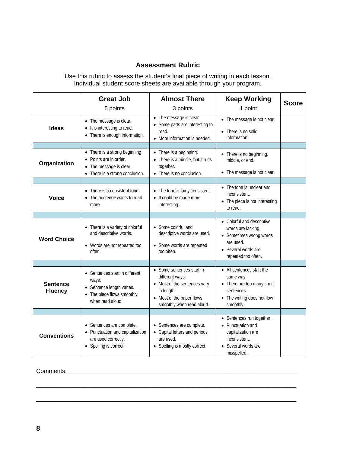#### **Assessment Rubric**

Use this rubric to assess the student's final piece of writing in each lesson. Individual student score sheets are available through your program.

|                                   | <b>Great Job</b><br>5 points                                                                                                             | <b>Almost There</b><br>3 points                                                                                                                      | <b>Keep Working</b><br>1 point                                                                                                         | <b>Score</b> |
|-----------------------------------|------------------------------------------------------------------------------------------------------------------------------------------|------------------------------------------------------------------------------------------------------------------------------------------------------|----------------------------------------------------------------------------------------------------------------------------------------|--------------|
| <b>Ideas</b>                      | • The message is clear.<br>It is interesting to read.<br>$\bullet$<br>There is enough information.<br>$\bullet$                          | • The message is clear.<br>• Some parts are interesting to<br>read.<br>• More information is needed.                                                 | • The message is not clear.<br>There is no solid<br>information.                                                                       |              |
| Organization                      | There is a strong beginning.<br>$\bullet$<br>Points are in order.<br>The message is clear.<br>There is a strong conclusion.<br>$\bullet$ | • There is a beginning.<br>• There is a middle, but it runs<br>together.<br>• There is no conclusion.                                                | • There is no beginning,<br>middle, or end.<br>The message is not clear.<br>$\bullet$                                                  |              |
| <b>Voice</b>                      | There is a consistent tone.<br>$\bullet$<br>The audience wants to read<br>$\bullet$<br>more.                                             | • The tone is fairly consistent.<br>• It could be made more<br>interesting.                                                                          | • The tone is unclear and<br>inconsistent.<br>• The piece is not interesting<br>to read.                                               |              |
| <b>Word Choice</b>                | There is a variety of colorful<br>and descriptive words.<br>Words are not repeated too<br>often.                                         | • Some colorful and<br>descriptive words are used.<br>• Some words are repeated<br>too often.                                                        | • Colorful and descriptive<br>words are lacking.<br>• Sometimes wrong words<br>are used.<br>• Several words are<br>repeated too often. |              |
| <b>Sentence</b><br><b>Fluency</b> | • Sentences start in different<br>ways.<br>• Sentence length varies.<br>The piece flows smoothly<br>when read aloud.                     | • Some sentences start in<br>different ways.<br>• Most of the sentences vary<br>in length.<br>• Most of the paper flows<br>smoothly when read aloud. | • All sentences start the<br>same way.<br>• There are too many short<br>sentences.<br>• The writing does not flow<br>smoothly.         |              |
| <b>Conventions</b>                | • Sentences are complete.<br>• Punctuation and capitalization<br>are used correctly.<br>• Spelling is correct.                           | • Sentences are complete.<br>• Capital letters and periods<br>are used.<br>• Spelling is mostly correct.                                             | • Sentences run together.<br>• Punctuation and<br>capitalization are<br>inconsistent.<br>Several words are<br>misspelled.              |              |

 $\_$  ,  $\_$  ,  $\_$  ,  $\_$  ,  $\_$  ,  $\_$  ,  $\_$  ,  $\_$  ,  $\_$  ,  $\_$  ,  $\_$  ,  $\_$  ,  $\_$  ,  $\_$  ,  $\_$  ,  $\_$  ,  $\_$  ,  $\_$  ,  $\_$  ,  $\_$  ,  $\_$  ,  $\_$  ,  $\_$  ,  $\_$  ,  $\_$  ,  $\_$  ,  $\_$  ,  $\_$  ,  $\_$  ,  $\_$  ,  $\_$  ,  $\_$  ,  $\_$  ,  $\_$  ,  $\_$  ,  $\_$  ,  $\_$  ,

 $\bot$  , and the contribution of the contribution of the contribution of the contribution of the contribution of  $\bot$ 

Comments:\_\_\_\_\_\_\_\_\_\_\_\_\_\_\_\_\_\_\_\_\_\_\_\_\_\_\_\_\_\_\_\_\_\_\_\_\_\_\_\_\_\_\_\_\_\_\_\_\_\_\_\_\_\_\_\_\_\_\_\_\_\_\_\_\_\_\_\_\_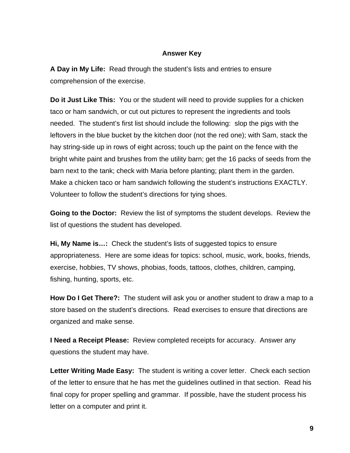#### **Answer Key**

**A Day in My Life:** Read through the student's lists and entries to ensure comprehension of the exercise.

**Do it Just Like This:** You or the student will need to provide supplies for a chicken taco or ham sandwich, or cut out pictures to represent the ingredients and tools needed. The student's first list should include the following: slop the pigs with the leftovers in the blue bucket by the kitchen door (not the red one); with Sam, stack the hay string-side up in rows of eight across; touch up the paint on the fence with the bright white paint and brushes from the utility barn; get the 16 packs of seeds from the barn next to the tank; check with Maria before planting; plant them in the garden. Make a chicken taco or ham sandwich following the student's instructions EXACTLY. Volunteer to follow the student's directions for tying shoes.

**Going to the Doctor:** Review the list of symptoms the student develops. Review the list of questions the student has developed.

**Hi, My Name is…:** Check the student's lists of suggested topics to ensure appropriateness. Here are some ideas for topics: school, music, work, books, friends, exercise, hobbies, TV shows, phobias, foods, tattoos, clothes, children, camping, fishing, hunting, sports, etc.

**How Do I Get There?:** The student will ask you or another student to draw a map to a store based on the student's directions. Read exercises to ensure that directions are organized and make sense.

**I Need a Receipt Please:** Review completed receipts for accuracy. Answer any questions the student may have.

**Letter Writing Made Easy:** The student is writing a cover letter. Check each section of the letter to ensure that he has met the guidelines outlined in that section. Read his final copy for proper spelling and grammar. If possible, have the student process his letter on a computer and print it.